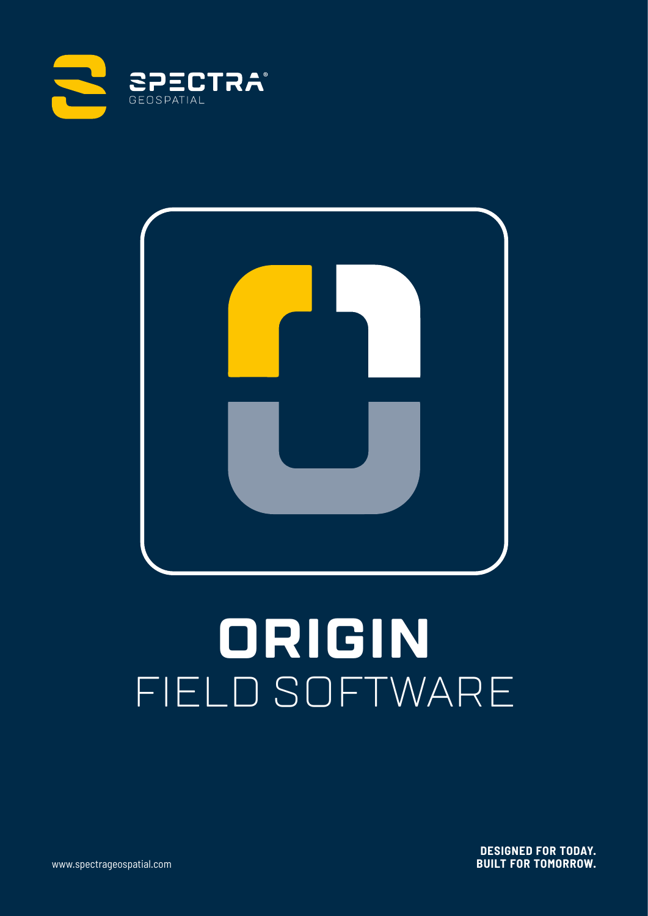



# **ORIGIN** FIELD SOFTWARE

**DESIGNED FOR TODAY. BUILT FOR TOMORROW.**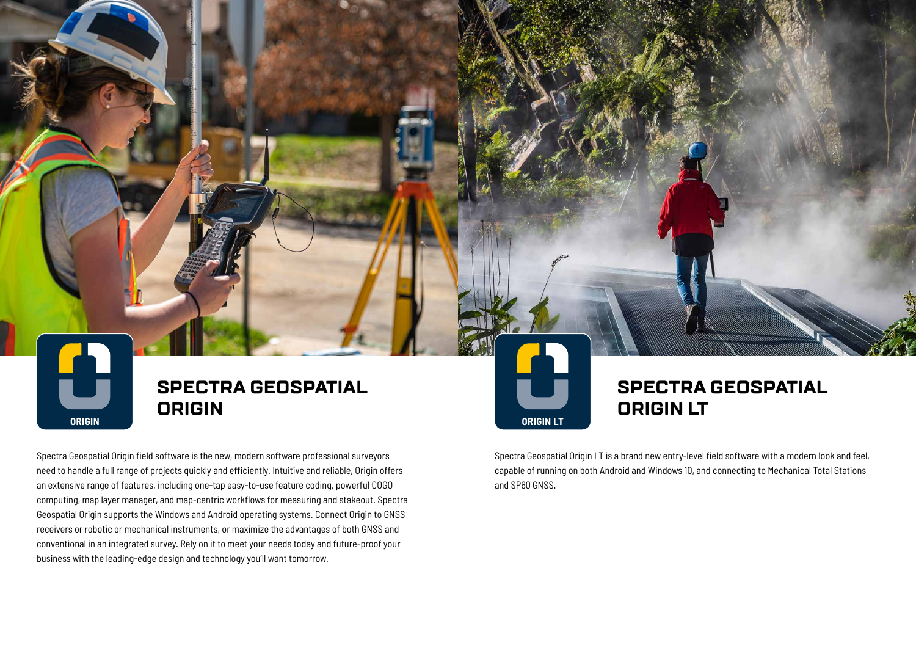Spectra Geospatial Origin field software is the new, modern software professional surveyors need to handle a full range of projects quickly and efficiently. Intuitive and reliable, Origin offers an extensive range of features, including one-tap easy-to-use feature coding, powerful COGO computing, map layer manager, and map-centric workflows for measuring and stakeout. Spectra Geospatial Origin supports the Windows and Android operating systems. Connect Origin to GNSS receivers or robotic or mechanical instruments, or maximize the advantages of both GNSS and conventional in an integrated survey. Rely on it to meet your needs today and future-proof your business with the leading-edge design and technology you'll want tomorrow.

## **SPECTRA GEOSPATIAL ORIGIN**

# **SPECTRA GEOSPATIAL**

# **ORIGIN LT**

Spectra Geospatial Origin LT is a brand new entry-level field software with a modern look and feel, capable of running on both Android and Windows 10, and connecting to Mechanical Total Stations and SP60 GNSS.



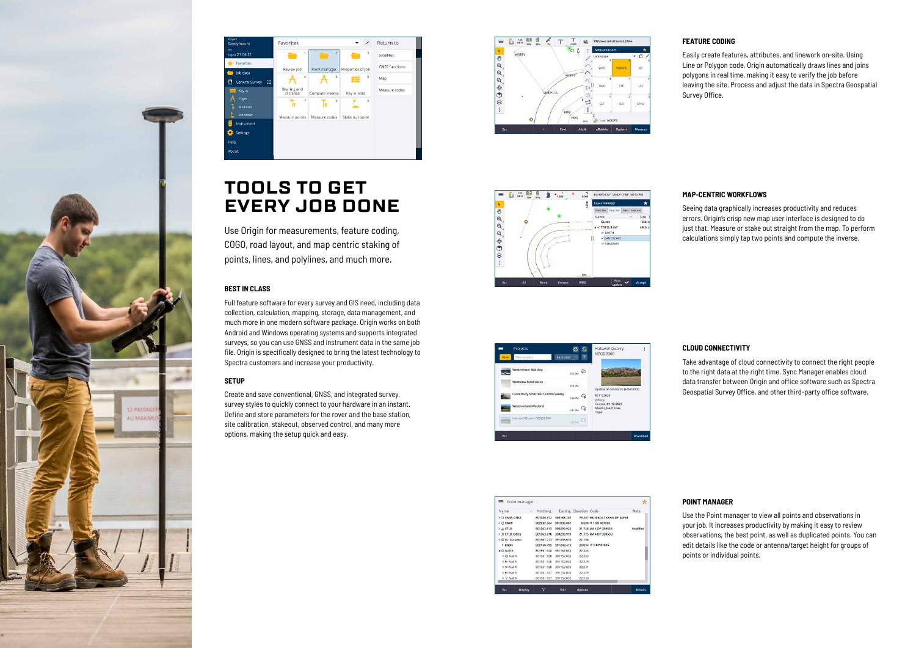#### **BEST IN CLASS**

Full feature software for every survey and GIS need, including data collection, calculation, mapping, storage, data management, and much more in one modern software package. Origin works on both Android and Windows operating systems and supports integrated surveys, so you can use GNSS and instrument data in the same job file. Origin is specifically designed to bring the latest technology to Spectra customers and increase your productivity.

#### **SETUP**

Create and save conventional, GNSS, and integrated survey, survey styles to quickly connect to your hardware in an instant. Define and store parameters for the rover and the base station, site calibration, stakeout, observed control, and many more options, making the setup quick and easy.







#### **FEATURE CODING**

Easily create features, attributes, and linework on-site. Using Line or Polygon code, Origin automatically draws lines and joins polygons in real time, making it easy to verify the job before leaving the site. Process and adjust the data in Spectra Geospatial Survey Office.

#### **MAP-CENTRIC WORKFLOWS**

Seeing data graphically increases productivity and reduces errors. Origin's crisp new map user interface is designed to do just that. Measure or stake out straight from the map. To perform calculations simply tap two points and compute the inverse.

**CLOUD CONNECTIVITY** Take advantage of cloud connectivity to connect the right people to the right data at the right time. Sync Manager enables cloud data transfer between Origin and office software such as Spectra Geospatial Survey Office, and other third-party office software.

| $\equiv$ Point manager |                                |            |                                 | 賁              |
|------------------------|--------------------------------|------------|---------------------------------|----------------|
| Name                   | Northing<br>$\curvearrowright$ |            | Easting Elevation Code          | Note           |
| <b>DE EN35 GNSS</b>    | 801030.972                     | 390188.207 | 79.207 IRON BOLT XXXIV DP 38994 |                |
| $D \subset ENKP$       | 802232.364                     | 391006.801 | 8,680 IT 1 SO 467288            |                |
| <b>DA ETLD</b>         | 801363.613                     | 390299.922 | 21.758 MA 4 DP 359538           | Modified       |
| <b>DETLD_GNSS</b>      | 801363.618                     | 390299.919 | 21.775 MA 4 DP 359538           |                |
| <b>D D</b> IS LSO unkn | 801567.773                     | 391058.610 | 22.194                          |                |
| 9 EN3H                 | 802150.495                     | 391248.413 | 20.894 IT 1 DP 81615            |                |
| ⊿ O Nail A             | 801551.928                     | 391152.032 | 22.283                          |                |
| D O Nail A             | 801551.928                     | 391152.032 | 22.283                          |                |
| D Ka Nail A            | 801551.928                     | 391152.032 | 22.229                          |                |
| D XX Nail A            | 801551.928                     | 391152.033 | 22.231                          |                |
| D Ka Nail A            | 801551.927                     | 391152.033 | 22.229                          |                |
| $D \vee$ Nail A        | 801551.927                     | 391152.033 | 22,230                          |                |
|                        |                                |            |                                 |                |
| <b>Display</b><br>Esc  | 7                              | Edit       | <b>Options</b>                  | <b>Details</b> |





## **TOOLS TO GET EVERY JOB DONE**

Use Origin for measurements, feature coding, COGO, road layout, and map centric staking of points, lines, and polylines, and much more.

#### **POINT MANAGER**

Use the Point manager to view all points and observations in your job. It increases productivity by making it easy to review observations, the best point, as well as duplicated points. You can edit details like the code or antenna/target height for groups of points or individual points.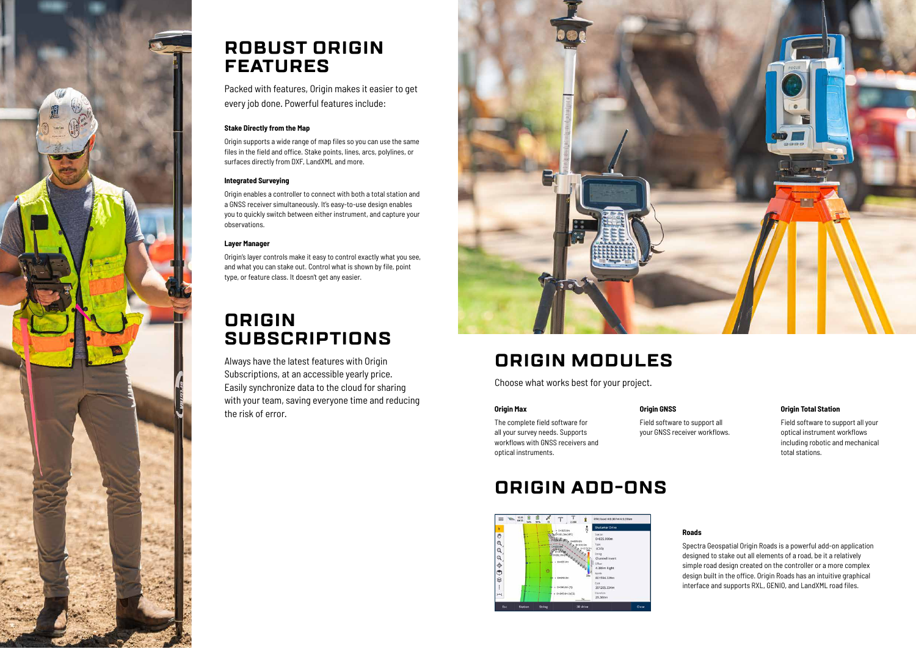

## **ROBUST ORIGIN FEATURES**

Packed with features, Origin makes it easier to get every job done. Powerful features include:

#### **Stake Directly from the Map**

Origin supports a wide range of map files so you can use the same files in the field and office. Stake points, lines, arcs, polylines, or surfaces directly from DXF, LandXML and more.

#### **Integrated Surveying**

Origin enables a controller to connect with both a total station and a GNSS receiver simultaneously. It's easy-to-use design enables you to quickly switch between either instrument, and capture your observations.

#### **Layer Manager**

Origin's layer controls make it easy to control exactly what you see, and what you can stake out. Control what is shown by file, point type, or feature class. It doesn't get any easier.

## **ORIGIN SUBSCRIPTIONS**

Always have the latest features with Origin Subscriptions, at an accessible yearly price. Easily synchronize data to the cloud for sharing with your team, saving everyone time and reducing the risk of error.



## **ORIGIN MODULES**

Choose what works best for your project.

#### **Origin GNSS**

Field software to support all your GNSS receiver workflows.

#### **Origin Max**

The complete field software for all your survey needs. Supports workflows with GNSS receivers and optical instruments.

#### **Origin Total Station**

Field software to support all your optical instrument workflows including robotic and mechanical total stations.

## **ORIGIN ADD-ONS**



**Roads**

Spectra Geospatial Origin Roads is a powerful add-on application designed to stake out all elements of a road, be it a relatively simple road design created on the controller or a more complex design built in the office. Origin Roads has an intuitive graphical interface and supports RXL, GENIO, and LandXML road files.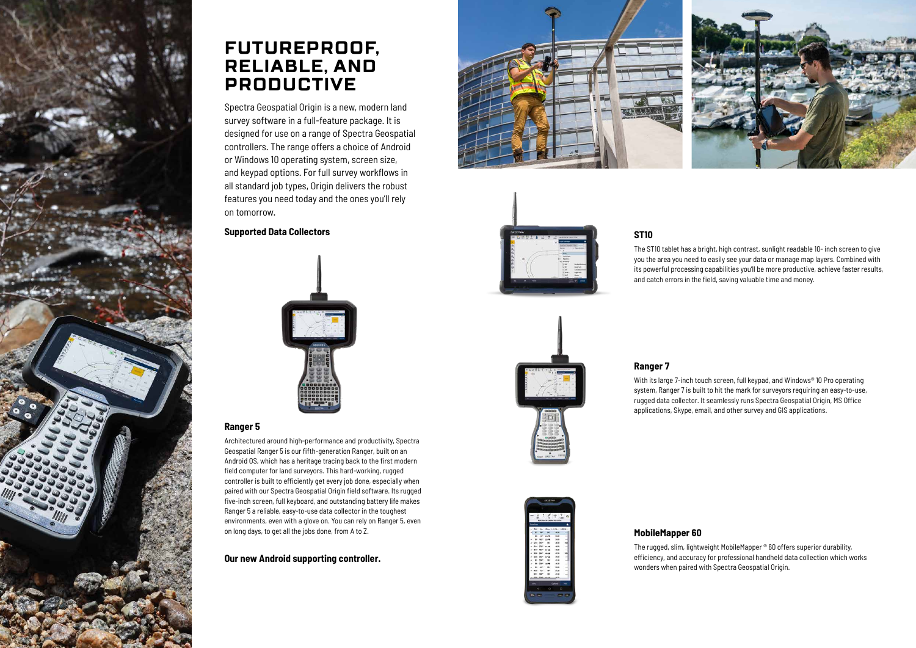

## **FUTUREPROOF, RELIABLE, AND PRODUCTIVE**

Spectra Geospatial Origin is a new, modern land survey software in a full-feature package. It is designed for use on a range of Spectra Geospatial controllers. The range offers a choice of Android or Windows 10 operating system, screen size, and keypad options. For full survey workflows in all standard job types, Origin delivers the robust features you need today and the ones you'll rely on tomorrow.

### **Supported Data Collectors**



#### **Ranger 5**

Architectured around high-performance and productivity, Spectra Geospatial Ranger 5 is our fifth-generation Ranger, built on an Android OS, which has a heritage tracing back to the first modern field computer for land surveyors. This hard-working, rugged controller is built to efficiently get every job done, especially when paired with our Spectra Geospatial Origin field software. Its rugged five-inch screen, full keyboard, and outstanding battery life makes Ranger 5 a reliable, easy-to-use data collector in the toughest environments, even with a glove on. You can rely on Ranger 5, even on long days, to get all the jobs done, from A to Z.

With its large 7-inch touch screen, full keypad, and Windows® 10 Pro operating system, Ranger 7 is built to hit the mark for surveyors requiring an easy-to-use, rugged data collector. It seamlessly runs Spectra Geospatial Origin, MS Office applications, Skype, email, and other survey and GIS applications.

**Our new Android supporting controller.**





### **ST10**



The ST10 tablet has a bright, high contrast, sunlight readable 10- inch screen to give you the area you need to easily see your data or manage map layers. Combined with its powerful processing capabilities you'll be more productive, achieve faster results, and catch errors in the field, saving valuable time and money.

### **MobileMapper 60**

The rugged, slim, lightweight MobileMapper ® 60 offers superior durability, efficiency, and accuracy for professional handheld data collection which works wonders when paired with Spectra Geospatial Origin.

### **Ranger 7**

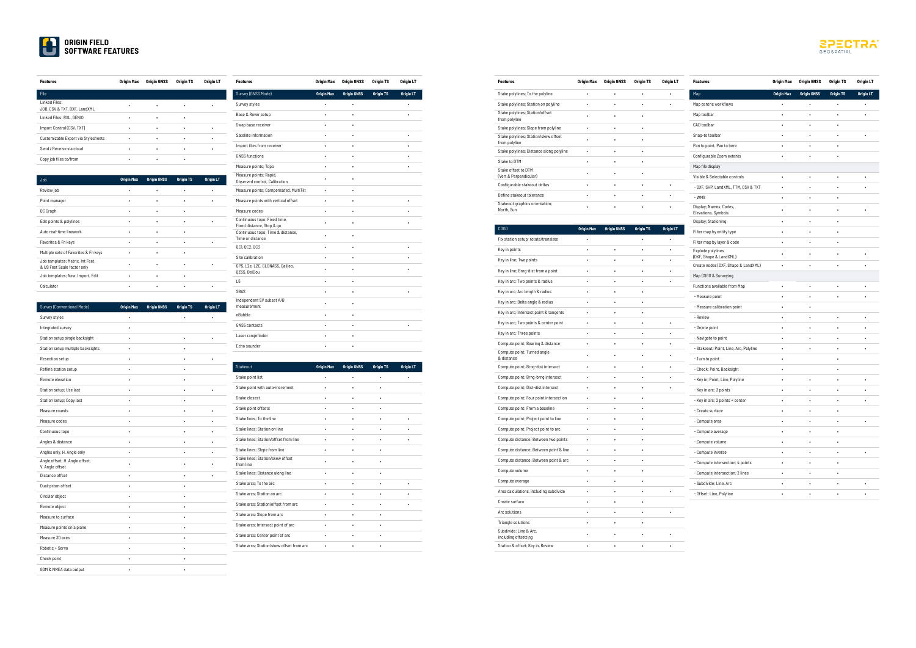| <b>Features</b>                               | Origin Max | <b>Origin GNSS</b> | Origin TS | Origin LT |
|-----------------------------------------------|------------|--------------------|-----------|-----------|
| File                                          |            |                    |           |           |
| Linked Files:<br>JOB, CSV & TXT, DXF, LandXML |            |                    |           |           |
| Linked Files: RXL, GENIO                      | ٠          | ٠                  | ٠         |           |
| Import Control (CSV, TXT)                     | ٠          |                    | ٠         |           |
| Customizable Export via Stylesheets           |            |                    | ٠         |           |
| Send / Receive via cloud                      | ٠          | ٠                  | ٠         | ٠         |
| Copy job files to/from                        |            |                    |           |           |

| Job                                                             | <b>Origin Max</b> | <b>Origin GNSS</b> | <b>Origin TS</b> | <b>Origin LT</b> |
|-----------------------------------------------------------------|-------------------|--------------------|------------------|------------------|
| Review job                                                      |                   |                    |                  |                  |
| Point manager                                                   |                   |                    |                  |                  |
| QC Graph                                                        |                   |                    |                  |                  |
| Edit points & polylines                                         |                   |                    |                  |                  |
| Auto real-time linework                                         | ٠                 |                    | ٠                |                  |
| Favorites & Fn keys                                             |                   |                    |                  |                  |
| Multiple sets of Favorites & Fn keys                            |                   |                    |                  |                  |
| Job templates; Metric, Int Feet,<br>& US Feet Scale factor only |                   |                    |                  |                  |
| Job templates; New, Import, Edit                                |                   |                    | ٠                |                  |
| Calculator                                                      |                   |                    |                  |                  |

| Survey (Conventional Mode)                        | <b>Origin Max</b> | <b>Origin GNSS</b> | <b>Origin TS</b> | <b>Origin LT</b> |
|---------------------------------------------------|-------------------|--------------------|------------------|------------------|
| Survey styles                                     |                   |                    |                  |                  |
| Integrated survey                                 |                   |                    |                  |                  |
| Station setup single backsight                    |                   |                    |                  |                  |
| Station setup multiple backsights                 |                   |                    |                  |                  |
| Resection setup                                   |                   |                    |                  |                  |
| Refline station setup                             |                   |                    |                  |                  |
| Remote elevation                                  |                   |                    |                  |                  |
| Station setup; Use last                           |                   |                    |                  |                  |
| Station setup; Copy last                          |                   |                    |                  |                  |
| Measure rounds                                    |                   |                    |                  |                  |
| Measure codes                                     |                   |                    |                  |                  |
| Continuous topo                                   |                   |                    |                  |                  |
| Angles & distance                                 |                   |                    |                  |                  |
| Angles only, H. Angle only                        |                   |                    |                  |                  |
| Angle offset, H. Angle offset,<br>V. Angle offset |                   |                    |                  |                  |
| Distance offset                                   |                   |                    |                  |                  |
| Dual-prism offset                                 |                   |                    |                  |                  |
| Circular object                                   |                   |                    |                  |                  |
| Remote object                                     |                   |                    |                  |                  |
| Measure to surface                                |                   |                    |                  |                  |
| Measure points on a plane                         | ٠                 |                    |                  |                  |
| Measure 3D axes                                   |                   |                    |                  |                  |
| Robotic + Servo                                   |                   |                    |                  |                  |
| Check point                                       |                   |                    |                  |                  |
| GDM & NMEA data output                            |                   |                    |                  |                  |

| <b>Features</b>                                           | Origin Max        | <b>Origin GNSS</b> | Origin TS        | Origin LT |
|-----------------------------------------------------------|-------------------|--------------------|------------------|-----------|
| Survey (GNSS Mode)                                        | <b>Origin Max</b> | <b>Origin GNSS</b> | <b>Origin TS</b> | Origin LT |
| Survey styles                                             | $\bullet$         |                    |                  |           |
| Base & Rover setup                                        | ٠                 |                    |                  |           |
| Swap base receiver                                        |                   |                    |                  |           |
| Satellite information                                     |                   |                    |                  |           |
| Import files from receiver                                |                   |                    |                  |           |
| <b>GNSS functions</b>                                     | ٠                 | ٠                  |                  |           |
| Measure points; Topo                                      |                   |                    |                  |           |
| Measure points; Rapid,<br>Observed control, Calibration,  |                   |                    |                  |           |
| Measure points; Compensated, MultiTilt                    | $\bullet$         |                    |                  |           |
| Measure points with vertical offset                       | $\bullet$         | ٠                  |                  |           |
| Measure codes                                             |                   |                    |                  |           |
| Continuous topo; Fixed time,<br>Fixed distance, Stop & go |                   |                    |                  |           |
| Continuous topo; Time & distance,<br>Time or distance     | $\bullet$         | ٠                  |                  |           |
| OC1, OC2, OC3                                             |                   |                    |                  |           |
| Site calibration                                          |                   |                    |                  |           |
| GPS, L2e, L2C, GLONASS, Galileo,<br>QZSS, BeiDou          | $\bullet$         | ٠                  |                  |           |
| L <sub>5</sub>                                            | $\bullet$         |                    |                  |           |
| SBAS                                                      |                   |                    |                  |           |
| Independent SV subset A/B<br>measurement                  | $\blacksquare$    |                    |                  |           |
| eBubble                                                   |                   |                    |                  |           |
| <b>GNSS</b> contacts                                      |                   |                    |                  |           |
| Laser rangefinder                                         |                   |                    |                  |           |
| Fcho sounder                                              |                   |                    |                  |           |

| Stakeout                                      | <b>Origin Max</b> | <b>Origin GNSS</b> | <b>Origin TS</b> | <b>Origin LT</b> |
|-----------------------------------------------|-------------------|--------------------|------------------|------------------|
| Stake point list                              |                   |                    |                  |                  |
| Stake point with auto-increment               | ٠                 | ٠                  | $\bullet$        |                  |
| Stake closest                                 | ٠                 |                    |                  |                  |
| Stake point offsets                           | $\bullet$         |                    |                  |                  |
| Stake lines: To the line                      |                   | ٠                  | $\bullet$        |                  |
| Stake lines: Station on line                  |                   | ٠                  | $\blacksquare$   |                  |
| Stake lines: Station/offset from line         |                   |                    |                  |                  |
| Stake lines; Slope from line                  |                   |                    |                  |                  |
| Stake lines: Station/skew offset<br>from line |                   |                    |                  |                  |
| Stake lines; Distance along line              |                   |                    |                  |                  |
| Stake arcs: To the arc                        |                   | ٠                  |                  |                  |
| Stake arcs; Station on arc                    |                   |                    |                  |                  |
| Stake arcs: Station/offset from arc           |                   |                    |                  |                  |
| Stake arcs; Slope from arc                    |                   |                    |                  |                  |
| Stake arcs; Intersect point of arc            |                   | ٠                  |                  |                  |
| Stake arcs; Center point of arc               |                   |                    |                  |                  |
| Stake arcs: Station/skew offset from arc      |                   |                    |                  |                  |

| <b>LA</b> DRIGIN FIELD       |
|------------------------------|
| <b>ULL SOFTWARE FEATURES</b> |

| <b>Features</b>                                       | Origin Max        | <b>Origin GNSS</b> | Origin TS        | Origin LT        | <b>Features</b>                                               | Origin Max        | <b>Origin GNSS</b> | Origin TS        | Origin LT        |
|-------------------------------------------------------|-------------------|--------------------|------------------|------------------|---------------------------------------------------------------|-------------------|--------------------|------------------|------------------|
| Stake polylines; To the polyline                      |                   |                    |                  |                  | Map                                                           | <b>Origin Max</b> | <b>Origin GNSS</b> | <b>Origin TS</b> | <b>Origin LT</b> |
| Stake polylines; Station on polyline                  |                   |                    |                  |                  | Map centric workflows                                         |                   |                    |                  |                  |
| Stake polylines; Station/offset<br>from polyline      |                   |                    |                  |                  | Map toolbar                                                   |                   | ٠                  |                  |                  |
| Stake polylines; Slope from polyline                  | $\bullet$         |                    |                  |                  | CAD toolbar                                                   |                   |                    | $\bullet$        |                  |
| Stake polylines; Station/skew offset<br>from polyline |                   |                    |                  |                  | Snap-to toolbar                                               |                   | $\cdot$            |                  |                  |
| Stake polylines; Distance along polyline              | $\bullet$         | $\bullet$          |                  |                  | Pan to point, Pan to here                                     |                   |                    |                  |                  |
| Stake to DTM                                          | $\bullet$         |                    | $\bullet$        |                  | Configurable Zoom extents                                     |                   |                    |                  |                  |
| Stake offset to DTM                                   |                   |                    |                  |                  | Map file display                                              |                   |                    |                  |                  |
| (Vert & Perpendicular)                                |                   |                    |                  |                  | Visible & Selectable controls                                 |                   |                    |                  |                  |
| Configurable stakeout deltas                          | $\bullet$         |                    |                  | $\bullet$        | - DXF, SHP, LandXML, TTM, CSV & TXT                           |                   |                    |                  |                  |
| Define stakeout tolerance                             |                   | $\bullet$          |                  |                  | - WMS                                                         |                   |                    |                  |                  |
| Stakeout graphics orientation;<br>North, Sun          |                   |                    |                  |                  | Display; Names, Codes,<br>Elevations, Symbols                 |                   |                    |                  |                  |
|                                                       |                   |                    |                  |                  | Display; Stationing                                           |                   | $\cdot$            |                  |                  |
| COGO                                                  | <b>Origin Max</b> | <b>Origin GNSS</b> | <b>Origin TS</b> | <b>Origin LT</b> | Filter map by entity type                                     |                   |                    |                  |                  |
| Fix station setup; rotate/translate                   |                   |                    |                  |                  | Filter map by layer & code                                    |                   | $\cdot$            |                  |                  |
| Key in points                                         | $\bullet$         |                    |                  |                  | Explode polylines                                             |                   |                    |                  |                  |
| Key in line; Two points                               |                   |                    |                  |                  | (DXF, Shape & LandXML)<br>Create nodes (DXF, Shape & LandXML) |                   | $\cdot$            |                  |                  |
| Key in line; Brng-dist from a point                   |                   |                    |                  |                  | Map COGO & Surveying                                          |                   |                    |                  |                  |
| Key in arc; Two points & radius                       |                   |                    |                  |                  |                                                               |                   |                    |                  |                  |
| Key in arc; Arc length & radius                       | $\bullet$         | $\bullet$          |                  |                  | Functions available from Map                                  |                   |                    |                  |                  |
| Key in arc; Delta angle & radius                      |                   |                    |                  |                  | - Measure point                                               |                   | $\cdot$            | $\bullet$        |                  |
| Key in arc; Intersect point & tangents                | $\bullet$         |                    |                  |                  | - Measure calibration point                                   | $\bullet$         | $\bullet$          |                  |                  |
| Key in arc; Two points & center point                 |                   |                    |                  |                  | - Review                                                      |                   |                    |                  |                  |
| Key in arc; Three points                              | $\bullet$         |                    |                  | $\bullet$        | - Delete point                                                |                   |                    |                  |                  |
| Compute point; Bearing & distance                     |                   |                    |                  |                  | - Navigate to point                                           | ٠                 | ٠                  |                  |                  |
| Compute point; Turned angle                           |                   |                    |                  |                  | - Stakeout; Point, Line, Arc, Polyline                        | $\bullet$         | $\cdot$            |                  |                  |
| & distance                                            | $\bullet$         |                    |                  |                  | - Turn to point                                               |                   |                    |                  |                  |
| Compute point; Brng-dist intersect                    |                   |                    |                  |                  | - Check; Point, Backsight                                     | $\bullet$         |                    |                  |                  |
| Compute point; Brng-brng intersect                    | $\bullet$         |                    |                  |                  | - Key in; Point, Line, Polyline                               |                   |                    |                  |                  |
| Compute point; Dist-dist intersect                    | $\bullet$         | $\bullet$          | $\bullet$        |                  | - Key in arc; 3 points                                        |                   |                    |                  |                  |
| Compute point; Four point intersection                | $\bullet$         | $\bullet$          | ٠                |                  | - Key in arc; 2 points + center                               |                   | ٠                  |                  | ٠                |
| Compute point; From a baseline                        |                   |                    |                  |                  | - Create surface                                              | ٠                 |                    | $\bullet$        |                  |
| Compute point; Project point to line                  |                   |                    |                  |                  | - Compute area                                                |                   |                    |                  |                  |
| Compute point; Project point to arc                   | $\bullet$         | $\bullet$          | $\bullet$        |                  | - Compute average                                             | $\bullet$         | $\bullet$          | $\bullet$        |                  |
| Compute distance; Between two points                  | $\bullet$         | $\bullet$          | $\bullet$        |                  | - Compute volume                                              | ٠                 |                    | $\bullet$        |                  |
| Compute distance; Between point & line                | $\bullet$         | $\bullet$          | $\bullet$        |                  | - Compute inverse                                             | $\bullet$         |                    | $\bullet$        |                  |
| Compute distance; Between point & arc                 | $\bullet$         |                    | $\bullet$        |                  | - Compute intersection; 4 points                              | $\bullet$         |                    | $\bullet$        |                  |
| Compute volume                                        | $\bullet$         | $\bullet$          | $\bullet$        |                  | - Compute intersection; 2 lines                               | $\bullet$         | $\cdot$            | $\bullet$        |                  |
| Compute average                                       | $\bullet$         | $\bullet$          | $\bullet$        |                  | - Subdivide; Line, Arc                                        | ٠                 |                    | ٠                |                  |
| Area calculations, including subdivide                | $\bullet$         |                    | $\bullet$        |                  | - Offset; Line, Polyline                                      | $\bullet$         | $\bullet$          | $\bullet$        |                  |

| COGO                                           | <b>Origin Max</b> | <b>Origin GNSS</b> | <b>Origin TS</b> | Origin LT |
|------------------------------------------------|-------------------|--------------------|------------------|-----------|
| Fix station setup; rotate/translate            |                   |                    |                  |           |
| Key in points                                  |                   |                    |                  |           |
| Key in line; Two points                        |                   |                    |                  |           |
| Key in line; Brng-dist from a point            |                   |                    |                  |           |
| Key in arc; Two points & radius                |                   |                    |                  |           |
| Key in arc; Arc length & radius                |                   |                    |                  |           |
| Key in arc; Delta angle & radius               |                   |                    |                  |           |
| Key in arc; Intersect point & tangents         |                   |                    |                  |           |
| Key in arc; Two points & center point          |                   |                    |                  |           |
| Key in arc; Three points                       |                   |                    |                  |           |
| Compute point; Bearing & distance              |                   |                    |                  |           |
| Compute point; Turned angle<br>& distance      |                   |                    |                  |           |
| Compute point; Brng-dist intersect             |                   |                    |                  |           |
| Compute point; Brng-brng intersect             |                   |                    |                  |           |
| Compute point; Dist-dist intersect             |                   |                    |                  |           |
| Compute point; Four point intersection         |                   |                    |                  |           |
| Compute point; From a baseline                 |                   |                    |                  |           |
| Compute point; Project point to line           |                   |                    |                  |           |
| Compute point; Project point to arc            |                   |                    |                  |           |
| Compute distance; Between two points           |                   |                    |                  |           |
| Compute distance; Between point & line         |                   |                    |                  |           |
| Compute distance; Between point & arc          |                   |                    |                  |           |
| Compute volume                                 |                   |                    |                  |           |
| Compute average                                |                   |                    |                  |           |
| Area calculations, including subdivide         |                   |                    |                  |           |
| Create surface                                 |                   |                    |                  |           |
| Arc solutions                                  |                   |                    |                  |           |
| Triangle solutions                             |                   |                    |                  |           |
| Subdivide; Line & Arc,<br>including offsetting |                   |                    |                  |           |
| Station & offset; Key in, Review               |                   |                    |                  |           |